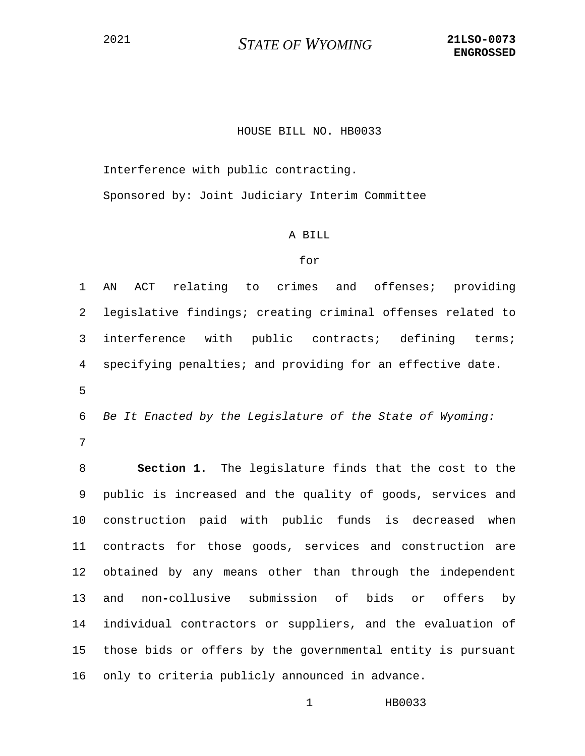## HOUSE BILL NO. HB0033

Interference with public contracting.

Sponsored by: Joint Judiciary Interim Committee

## A BILL

## for

1 AN ACT relating to crimes and offenses; providing 2 legislative findings; creating criminal offenses related to 3 interference with public contracts; defining terms; 4 specifying penalties; and providing for an effective date.

5

6 *Be It Enacted by the Legislature of the State of Wyoming:*

7

8 **Section 1.** The legislature finds that the cost to the 9 public is increased and the quality of goods, services and 10 construction paid with public funds is decreased when 11 contracts for those goods, services and construction are 12 obtained by any means other than through the independent 13 and non**-**collusive submission of bids or offers by 14 individual contractors or suppliers, and the evaluation of 15 those bids or offers by the governmental entity is pursuant 16 only to criteria publicly announced in advance.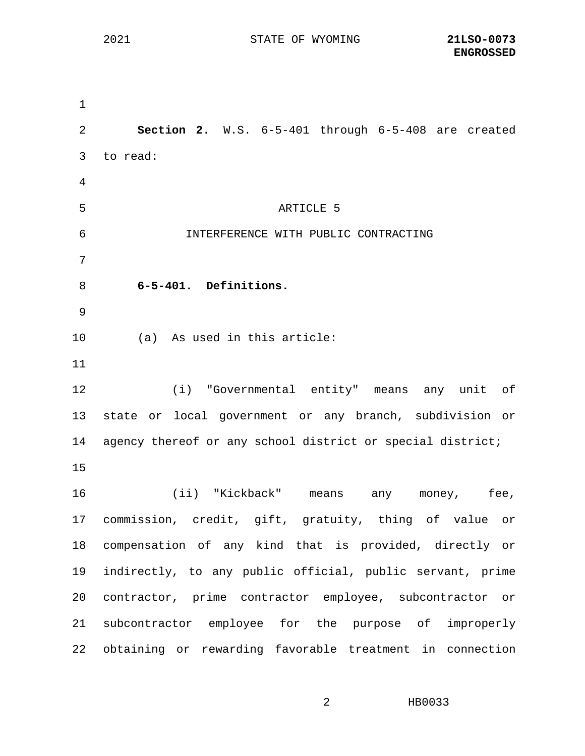1 2 **Section 2.** W.S. 6-5-401 through 6-5-408 are created 3 to read: 4 5 ARTICLE 5 6 INTERFERENCE WITH PUBLIC CONTRACTING 7 8 **6-5-401. Definitions.** 9 10 (a) As used in this article: 11 12 (i) "Governmental entity" means any unit of 13 state or local government or any branch, subdivision or 14 agency thereof or any school district or special district; 15 16 (ii) "Kickback" means any money, fee, 17 commission, credit, gift, gratuity, thing of value or 18 compensation of any kind that is provided, directly or 19 indirectly, to any public official, public servant, prime 20 contractor, prime contractor employee, subcontractor or 21 subcontractor employee for the purpose of improperly 22 obtaining or rewarding favorable treatment in connection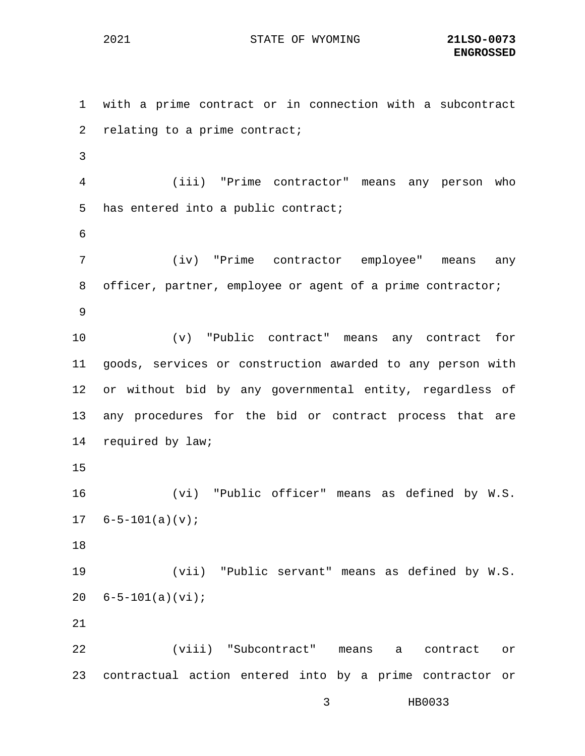1 with a prime contract or in connection with a subcontract 2 relating to a prime contract; 3 4 (iii) "Prime contractor" means any person who 5 has entered into a public contract; 6 7 (iv) "Prime contractor employee" means any 8 officer, partner, employee or agent of a prime contractor; 9 10 (v) "Public contract" means any contract for 11 goods, services or construction awarded to any person with 12 or without bid by any governmental entity, regardless of 13 any procedures for the bid or contract process that are 14 required by law; 15 16 (vi) "Public officer" means as defined by W.S.  $17 \quad 6 - 5 - 101(a)(v);$ 18 19 (vii) "Public servant" means as defined by W.S. 20 6-5-101(a)(vi); 21 22 (viii) "Subcontract" means a contract or 23 contractual action entered into by a prime contractor or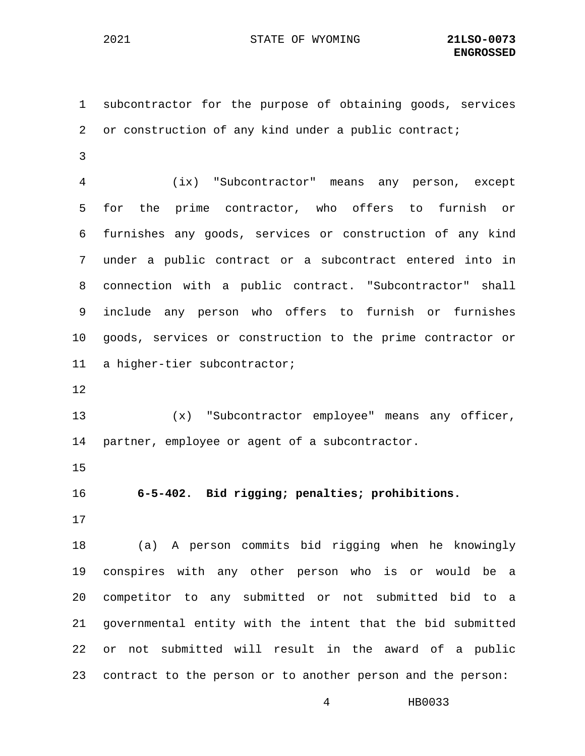1 subcontractor for the purpose of obtaining goods, services 2 or construction of any kind under a public contract;

3

4 (ix) "Subcontractor" means any person, except 5 for the prime contractor, who offers to furnish or 6 furnishes any goods, services or construction of any kind 7 under a public contract or a subcontract entered into in 8 connection with a public contract. "Subcontractor" shall 9 include any person who offers to furnish or furnishes 10 goods, services or construction to the prime contractor or 11 a higher-tier subcontractor;

12

13 (x) "Subcontractor employee" means any officer, 14 partner, employee or agent of a subcontractor.

15

16 **6-5-402. Bid rigging; penalties; prohibitions.**

17

18 (a) A person commits bid rigging when he knowingly 19 conspires with any other person who is or would be a 20 competitor to any submitted or not submitted bid to a 21 governmental entity with the intent that the bid submitted 22 or not submitted will result in the award of a public 23 contract to the person or to another person and the person: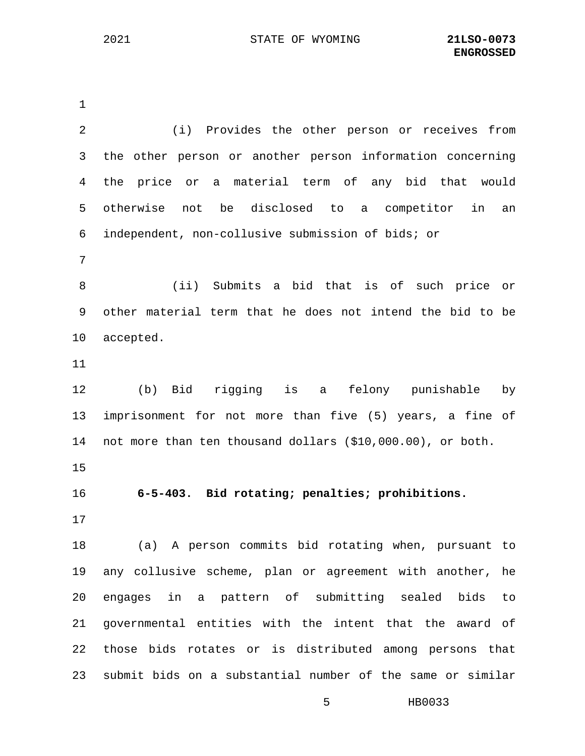1 2 (i) Provides the other person or receives from 3 the other person or another person information concerning 4 the price or a material term of any bid that would 5 otherwise not be disclosed to a competitor in an 6 independent, non-collusive submission of bids; or 7 8 (ii) Submits a bid that is of such price or 9 other material term that he does not intend the bid to be 10 accepted. 11 12 (b) Bid rigging is a felony punishable by 13 imprisonment for not more than five (5) years, a fine of 14 not more than ten thousand dollars (\$10,000.00), or both. 15 16 **6-5-403. Bid rotating; penalties; prohibitions.** 17 18 (a) A person commits bid rotating when, pursuant to 19 any collusive scheme, plan or agreement with another, he 20 engages in a pattern of submitting sealed bids to 21 governmental entities with the intent that the award of 22 those bids rotates or is distributed among persons that 23 submit bids on a substantial number of the same or similar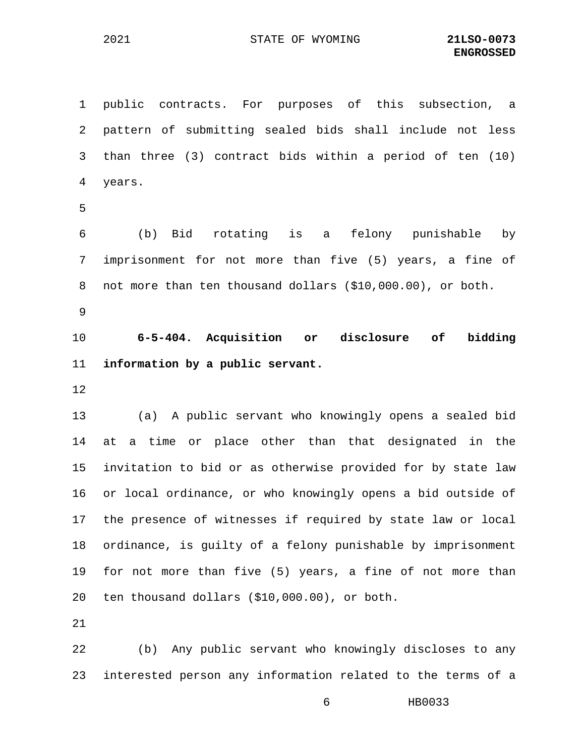1 public contracts. For purposes of this subsection, a 2 pattern of submitting sealed bids shall include not less 3 than three (3) contract bids within a period of ten (10) 4 years. 5 6 (b) Bid rotating is a felony punishable by 7 imprisonment for not more than five (5) years, a fine of 8 not more than ten thousand dollars (\$10,000.00), or both. 9 10 **6-5-404. Acquisition or disclosure of bidding**  11 **information by a public servant.** 12 13 (a) A public servant who knowingly opens a sealed bid 14 at a time or place other than that designated in the 15 invitation to bid or as otherwise provided for by state law 16 or local ordinance, or who knowingly opens a bid outside of

17 the presence of witnesses if required by state law or local 18 ordinance, is guilty of a felony punishable by imprisonment 19 for not more than five (5) years, a fine of not more than 20 ten thousand dollars (\$10,000.00), or both.

21

22 (b) Any public servant who knowingly discloses to any 23 interested person any information related to the terms of a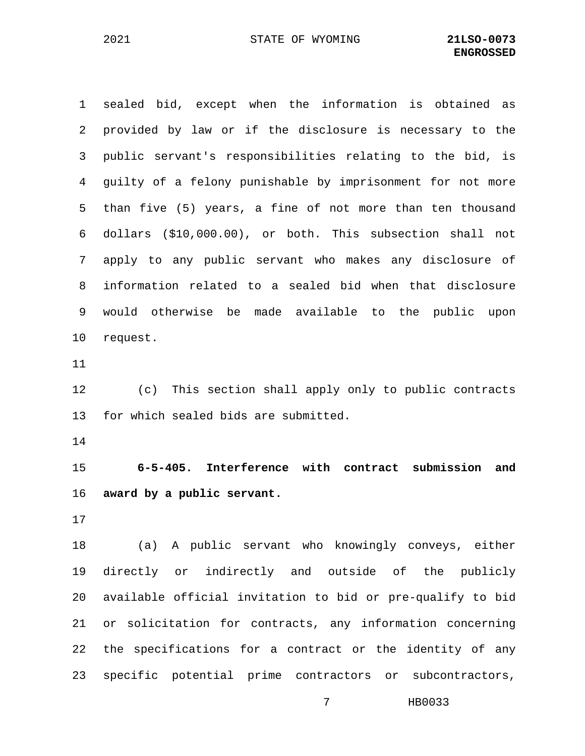1 sealed bid, except when the information is obtained as 2 provided by law or if the disclosure is necessary to the 3 public servant's responsibilities relating to the bid, is 4 guilty of a felony punishable by imprisonment for not more 5 than five (5) years, a fine of not more than ten thousand 6 dollars (\$10,000.00), or both. This subsection shall not 7 apply to any public servant who makes any disclosure of 8 information related to a sealed bid when that disclosure 9 would otherwise be made available to the public upon 10 request.

11

12 (c) This section shall apply only to public contracts 13 for which sealed bids are submitted.

14

15 **6-5-405. Interference with contract submission and**  16 **award by a public servant.**

17

18 (a) A public servant who knowingly conveys, either 19 directly or indirectly and outside of the publicly 20 available official invitation to bid or pre-qualify to bid 21 or solicitation for contracts, any information concerning 22 the specifications for a contract or the identity of any 23 specific potential prime contractors or subcontractors,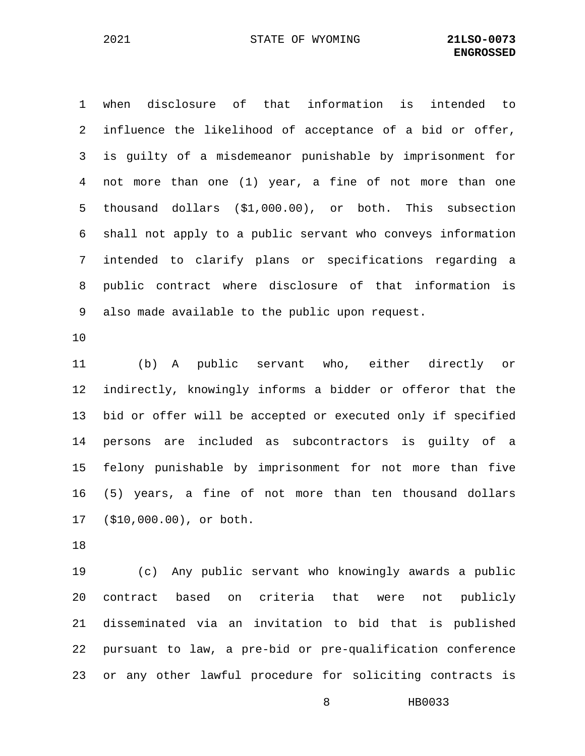1 when disclosure of that information is intended to 2 influence the likelihood of acceptance of a bid or offer, 3 is guilty of a misdemeanor punishable by imprisonment for 4 not more than one (1) year, a fine of not more than one 5 thousand dollars (\$1,000.00), or both. This subsection 6 shall not apply to a public servant who conveys information 7 intended to clarify plans or specifications regarding a 8 public contract where disclosure of that information is 9 also made available to the public upon request.

10

11 (b) A public servant who, either directly or 12 indirectly, knowingly informs a bidder or offeror that the 13 bid or offer will be accepted or executed only if specified 14 persons are included as subcontractors is guilty of a 15 felony punishable by imprisonment for not more than five 16 (5) years, a fine of not more than ten thousand dollars 17 (\$10,000.00), or both.

18

19 (c) Any public servant who knowingly awards a public 20 contract based on criteria that were not publicly 21 disseminated via an invitation to bid that is published 22 pursuant to law, a pre-bid or pre-qualification conference 23 or any other lawful procedure for soliciting contracts is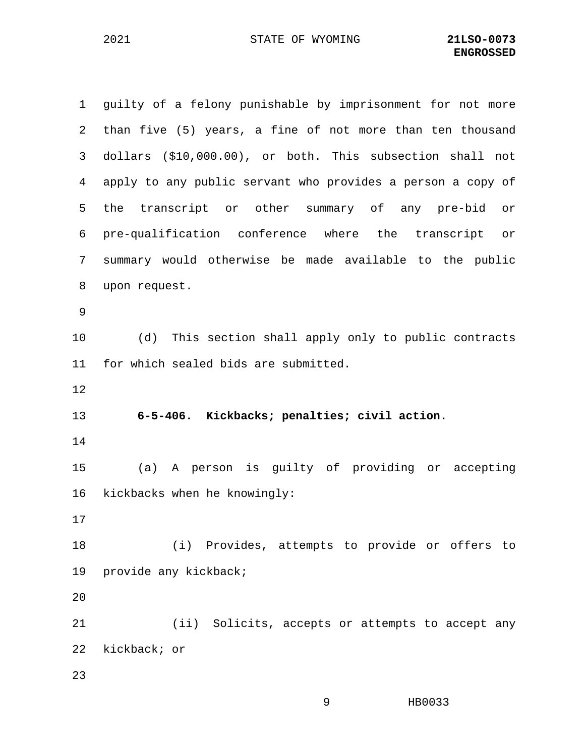1 guilty of a felony punishable by imprisonment for not more 2 than five (5) years, a fine of not more than ten thousand 3 dollars (\$10,000.00), or both. This subsection shall not 4 apply to any public servant who provides a person a copy of 5 the transcript or other summary of any pre-bid or 6 pre-qualification conference where the transcript or 7 summary would otherwise be made available to the public 8 upon request. 9 10 (d) This section shall apply only to public contracts 11 for which sealed bids are submitted. 12 13 **6-5-406. Kickbacks; penalties; civil action.** 14 15 (a) A person is guilty of providing or accepting 16 kickbacks when he knowingly: 17 18 (i) Provides, attempts to provide or offers to 19 provide any kickback; 20 21 (ii) Solicits, accepts or attempts to accept any 22 kickback; or 23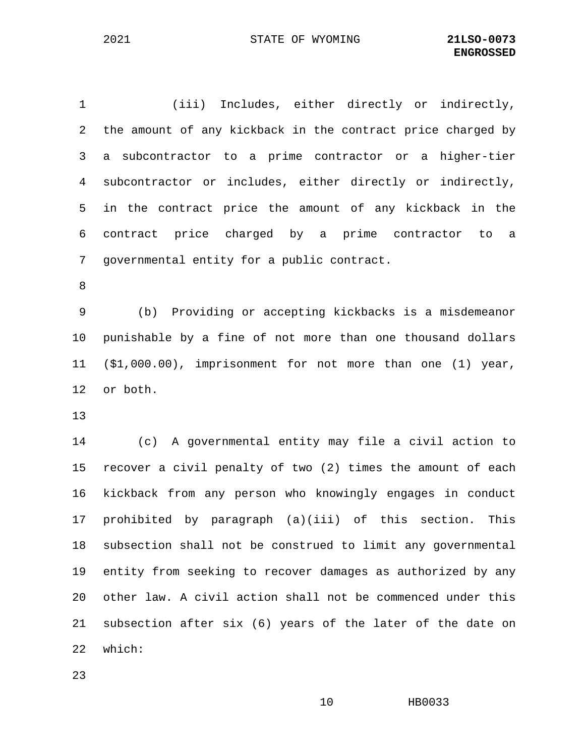1 (iii) Includes, either directly or indirectly, 2 the amount of any kickback in the contract price charged by 3 a subcontractor to a prime contractor or a higher-tier 4 subcontractor or includes, either directly or indirectly, 5 in the contract price the amount of any kickback in the 6 contract price charged by a prime contractor to a 7 governmental entity for a public contract.

8

9 (b) Providing or accepting kickbacks is a misdemeanor 10 punishable by a fine of not more than one thousand dollars 11 (\$1,000.00), imprisonment for not more than one (1) year, 12 or both.

13

14 (c) A governmental entity may file a civil action to 15 recover a civil penalty of two (2) times the amount of each 16 kickback from any person who knowingly engages in conduct 17 prohibited by paragraph (a)(iii) of this section. This 18 subsection shall not be construed to limit any governmental 19 entity from seeking to recover damages as authorized by any 20 other law. A civil action shall not be commenced under this 21 subsection after six (6) years of the later of the date on 22 which:

23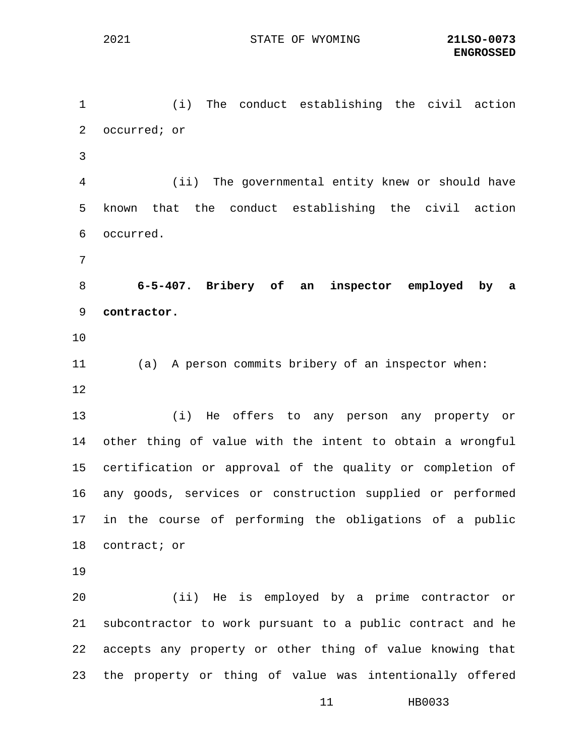11 HB0033 1 (i) The conduct establishing the civil action 2 occurred; or 3 4 (ii) The governmental entity knew or should have 5 known that the conduct establishing the civil action 6 occurred. 7 8 **6-5-407. Bribery of an inspector employed by a**  9 **contractor.** 10 11 (a) A person commits bribery of an inspector when: 12 13 (i) He offers to any person any property or 14 other thing of value with the intent to obtain a wrongful 15 certification or approval of the quality or completion of 16 any goods, services or construction supplied or performed 17 in the course of performing the obligations of a public 18 contract; or 19 20 (ii) He is employed by a prime contractor or 21 subcontractor to work pursuant to a public contract and he 22 accepts any property or other thing of value knowing that 23 the property or thing of value was intentionally offered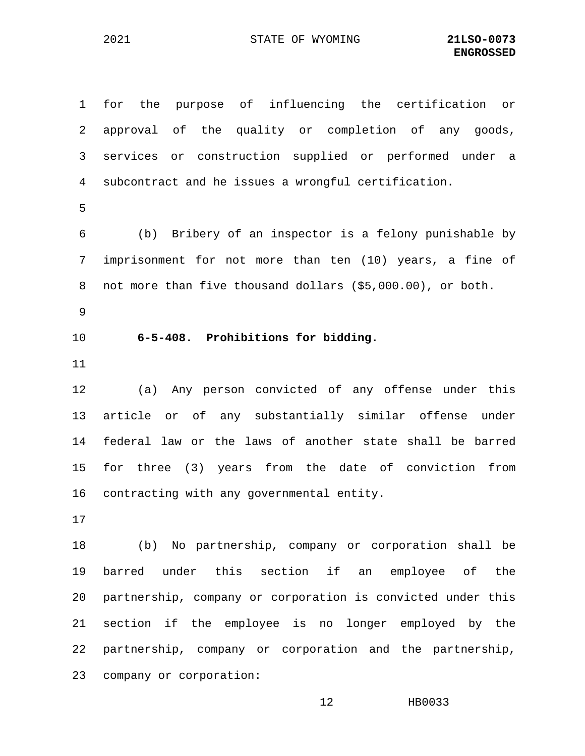1 for the purpose of influencing the certification or 2 approval of the quality or completion of any goods, 3 services or construction supplied or performed under a 4 subcontract and he issues a wrongful certification. 5 6 (b) Bribery of an inspector is a felony punishable by 7 imprisonment for not more than ten (10) years, a fine of 8 not more than five thousand dollars (\$5,000.00), or both. 9 10 **6-5-408. Prohibitions for bidding.** 11 12 (a) Any person convicted of any offense under this 13 article or of any substantially similar offense under 14 federal law or the laws of another state shall be barred 15 for three (3) years from the date of conviction from 16 contracting with any governmental entity. 17 18 (b) No partnership, company or corporation shall be 19 barred under this section if an employee of the 20 partnership, company or corporation is convicted under this 21 section if the employee is no longer employed by the 22 partnership, company or corporation and the partnership, 23 company or corporation: